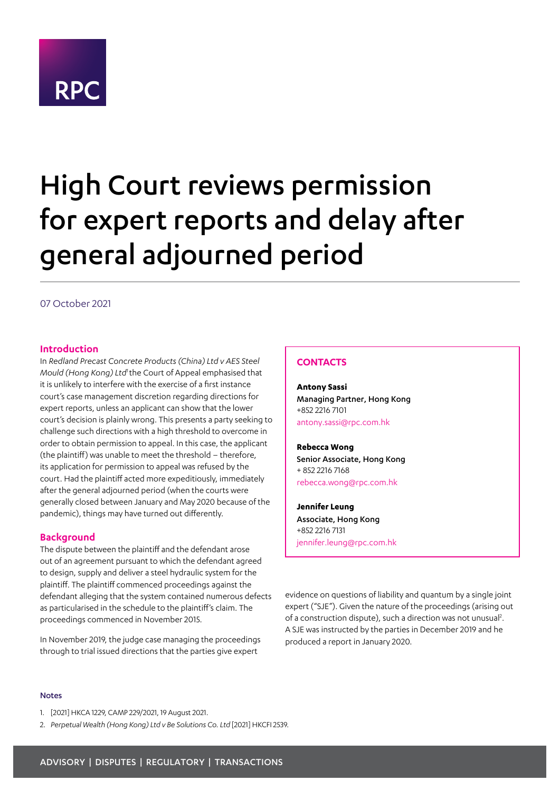

# High Court reviews permission for expert reports and delay after general adjourned period

# 07 October 2021

# **Introduction**

In *Redland Precast Concrete Products (China) Ltd v AES Steel Mould (Hong Kong) Ltd1* the Court of Appeal emphasised that it is unlikely to interfere with the exercise of a first instance court's case management discretion regarding directions for expert reports, unless an applicant can show that the lower court's decision is plainly wrong. This presents a party seeking to challenge such directions with a high threshold to overcome in order to obtain permission to appeal. In this case, the applicant (the plaintiff) was unable to meet the threshold – therefore, its application for permission to appeal was refused by the court. Had the plaintiff acted more expeditiously, immediately after the general adjourned period (when the courts were generally closed between January and May 2020 because of the pandemic), things may have turned out differently.

#### **Background**

The dispute between the plaintiff and the defendant arose out of an agreement pursuant to which the defendant agreed to design, supply and deliver a steel hydraulic system for the plaintiff. The plaintiff commenced proceedings against the defendant alleging that the system contained numerous defects as particularised in the schedule to the plaintiff's claim. The proceedings commenced in November 2015.

In November 2019, the judge case managing the proceedings through to trial issued directions that the parties give expert

#### **CONTACTS**

**Antony Sassi** Managing Partner, Hong Kong +852 2216 7101 antony.sassi@rpc.com.hk

**Rebecca Wong** Senior Associate, Hong Kong + 852 2216 7168 rebecca.wong@rpc.com.hk

**Jennifer Leung** Associate, Hong Kong +852 2216 7131 jennifer.leung@rpc.com.hk

evidence on questions of liability and quantum by a single joint expert ("SJE"). Given the nature of the proceedings (arising out of a construction dispute), such a direction was not unusual<sup>2</sup>. A SJE was instructed by the parties in December 2019 and he produced a report in January 2020.

#### Notes

- 1. [2021] HKCA 1229, CAMP 229/2021, 19 August 2021.
- 2. *Perpetual Wealth (Hong Kong) Ltd v Be Solutions Co. Ltd* [2021] HKCFI 2539.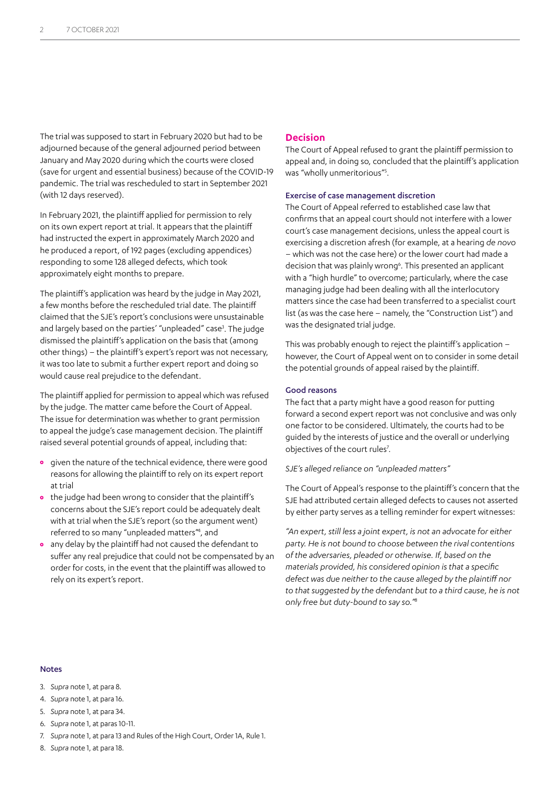The trial was supposed to start in February 2020 but had to be adjourned because of the general adjourned period between January and May 2020 during which the courts were closed (save for urgent and essential business) because of the COVID-19 pandemic. The trial was rescheduled to start in September 2021 (with 12 days reserved).

In February 2021, the plaintiff applied for permission to rely on its own expert report at trial. It appears that the plaintiff had instructed the expert in approximately March 2020 and he produced a report, of 192 pages (excluding appendices) responding to some 128 alleged defects, which took approximately eight months to prepare.

The plaintiff's application was heard by the judge in May 2021, a few months before the rescheduled trial date. The plaintiff claimed that the SJE's report's conclusions were unsustainable and largely based on the parties' "unpleaded" case<sup>3</sup>. The judge dismissed the plaintiff's application on the basis that (among other things) – the plaintiff's expert's report was not necessary, it was too late to submit a further expert report and doing so would cause real prejudice to the defendant.

The plaintiff applied for permission to appeal which was refused by the judge. The matter came before the Court of Appeal. The issue for determination was whether to grant permission to appeal the judge's case management decision. The plaintiff raised several potential grounds of appeal, including that:

- **•** given the nature of the technical evidence, there were good reasons for allowing the plaintiff to rely on its expert report at trial
- **•** the judge had been wrong to consider that the plaintiff's concerns about the SJE's report could be adequately dealt with at trial when the SJE's report (so the argument went) referred to so many "unpleaded matters<sup>"4</sup>, and
- **•** any delay by the plaintiff had not caused the defendant to suffer any real prejudice that could not be compensated by an order for costs, in the event that the plaintiff was allowed to rely on its expert's report.

# **Decision**

The Court of Appeal refused to grant the plaintiff permission to appeal and, in doing so, concluded that the plaintiff's application was "wholly unmeritorious"<sup>5</sup>.

#### Exercise of case management discretion

The Court of Appeal referred to established case law that confirms that an appeal court should not interfere with a lower court's case management decisions, unless the appeal court is exercising a discretion afresh (for example, at a hearing *de novo* – which was not the case here) or the lower court had made a decision that was plainly wrong<sup>6</sup>. This presented an applicant with a "high hurdle" to overcome; particularly, where the case managing judge had been dealing with all the interlocutory matters since the case had been transferred to a specialist court list (as was the case here – namely, the "Construction List") and was the designated trial judge.

This was probably enough to reject the plaintiff's application – however, the Court of Appeal went on to consider in some detail the potential grounds of appeal raised by the plaintiff.

#### Good reasons

The fact that a party might have a good reason for putting forward a second expert report was not conclusive and was only one factor to be considered. Ultimately, the courts had to be guided by the interests of justice and the overall or underlying objectives of the court rules<sup>7</sup>.

*SJE's alleged reliance on "unpleaded matters"*

The Court of Appeal's response to the plaintiff's concern that the SJE had attributed certain alleged defects to causes not asserted by either party serves as a telling reminder for expert witnesses:

*"An expert, still less a joint expert, is not an advocate for either party. He is not bound to choose between the rival contentions of the adversaries, pleaded or otherwise. If, based on the materials provided, his considered opinion is that a specific defect was due neither to the cause alleged by the plaintiff nor to that suggested by the defendant but to a third cause, he is not only free but duty-bound to say so."8*

#### Notes

- 3. *Supra* note 1, at para 8.
- 4. *Supra* note 1, at para 16.
- 5. *Supra* note 1, at para 34.
- 6. *Supra* note 1, at paras 10-11.
- 7. *Supra* note 1, at para 13 and Rules of the High Court, Order 1A, Rule 1.
- 8. *Supra* note 1, at para 18.